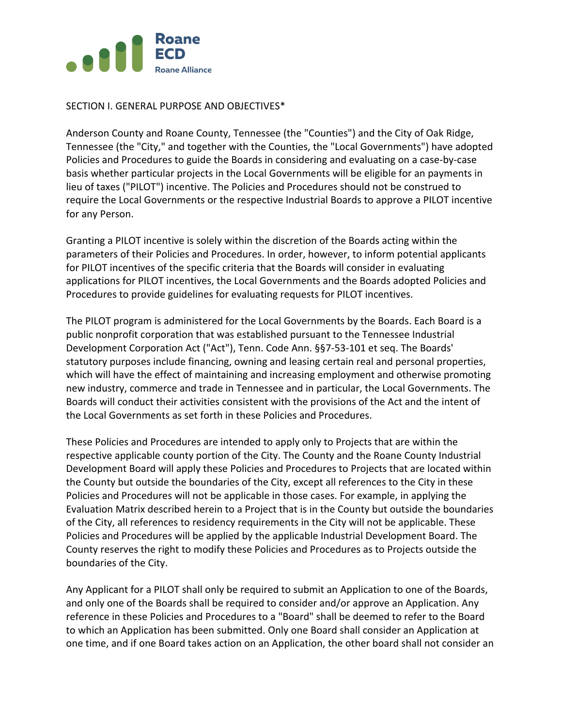

## SECTION I. GENERAL PURPOSE AND OBJECTIVES\*

Anderson County and Roane County, Tennessee (the "Counties") and the City of Oak Ridge, Tennessee (the "City," and together with the Counties, the "Local Governments") have adopted Policies and Procedures to guide the Boards in considering and evaluating on a case-by-case basis whether particular projects in the Local Governments will be eligible for an payments in lieu of taxes ("PILOT") incentive. The Policies and Procedures should not be construed to require the Local Governments or the respective Industrial Boards to approve a PILOT incentive for any Person.

Granting a PILOT incentive is solely within the discretion of the Boards acting within the parameters of their Policies and Procedures. In order, however, to inform potential applicants for PILOT incentives of the specific criteria that the Boards will consider in evaluating applications for PILOT incentives, the Local Governments and the Boards adopted Policies and Procedures to provide guidelines for evaluating requests for PILOT incentives.

The PILOT program is administered for the Local Governments by the Boards. Each Board is a public nonprofit corporation that was established pursuant to the Tennessee Industrial Development Corporation Act ("Act"), Tenn. Code Ann. §§7-53-101 et seq. The Boards' statutory purposes include financing, owning and leasing certain real and personal properties, which will have the effect of maintaining and increasing employment and otherwise promoting new industry, commerce and trade in Tennessee and in particular, the Local Governments. The Boards will conduct their activities consistent with the provisions of the Act and the intent of the Local Governments as set forth in these Policies and Procedures.

These Policies and Procedures are intended to apply only to Projects that are within the respective applicable county portion of the City. The County and the Roane County Industrial Development Board will apply these Policies and Procedures to Projects that are located within the County but outside the boundaries of the City, except all references to the City in these Policies and Procedures will not be applicable in those cases. For example, in applying the Evaluation Matrix described herein to a Project that is in the County but outside the boundaries of the City, all references to residency requirements in the City will not be applicable. These Policies and Procedures will be applied by the applicable Industrial Development Board. The County reserves the right to modify these Policies and Procedures as to Projects outside the boundaries of the City.

Any Applicant for a PILOT shall only be required to submit an Application to one of the Boards, and only one of the Boards shall be required to consider and/or approve an Application. Any reference in these Policies and Procedures to a "Board" shall be deemed to refer to the Board to which an Application has been submitted. Only one Board shall consider an Application at one time, and if one Board takes action on an Application, the other board shall not consider an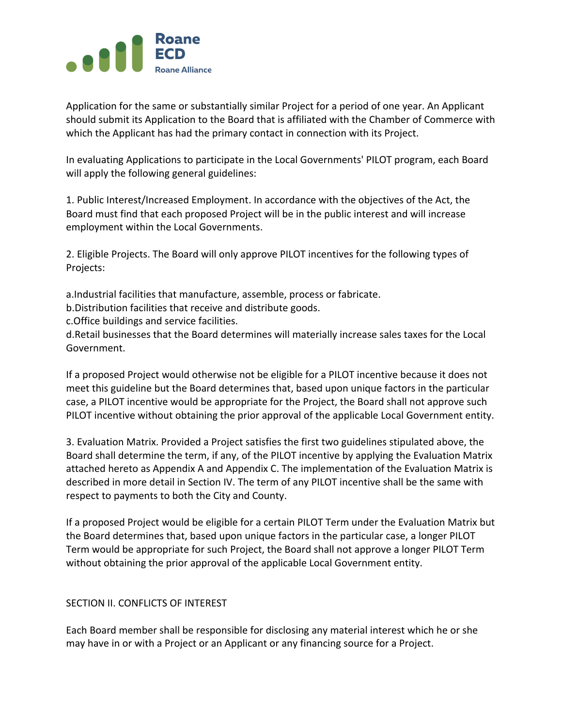

Application for the same or substantially similar Project for a period of one year. An Applicant should submit its Application to the Board that is affiliated with the Chamber of Commerce with which the Applicant has had the primary contact in connection with its Project.

In evaluating Applications to participate in the Local Governments' PILOT program, each Board will apply the following general guidelines:

1. Public Interest/Increased Employment. In accordance with the objectives of the Act, the Board must find that each proposed Project will be in the public interest and will increase employment within the Local Governments.

2. Eligible Projects. The Board will only approve PILOT incentives for the following types of Projects:

a.Industrial facilities that manufacture, assemble, process or fabricate.

b.Distribution facilities that receive and distribute goods.

c.Office buildings and service facilities.

d.Retail businesses that the Board determines will materially increase sales taxes for the Local Government.

If a proposed Project would otherwise not be eligible for a PILOT incentive because it does not meet this guideline but the Board determines that, based upon unique factors in the particular case, a PILOT incentive would be appropriate for the Project, the Board shall not approve such PILOT incentive without obtaining the prior approval of the applicable Local Government entity.

3. Evaluation Matrix. Provided a Project satisfies the first two guidelines stipulated above, the Board shall determine the term, if any, of the PILOT incentive by applying the Evaluation Matrix attached hereto as Appendix A and Appendix C. The implementation of the Evaluation Matrix is described in more detail in Section IV. The term of any PILOT incentive shall be the same with respect to payments to both the City and County.

If a proposed Project would be eligible for a certain PILOT Term under the Evaluation Matrix but the Board determines that, based upon unique factors in the particular case, a longer PILOT Term would be appropriate for such Project, the Board shall not approve a longer PILOT Term without obtaining the prior approval of the applicable Local Government entity.

### SECTION II. CONFLICTS OF INTEREST

Each Board member shall be responsible for disclosing any material interest which he or she may have in or with a Project or an Applicant or any financing source for a Project.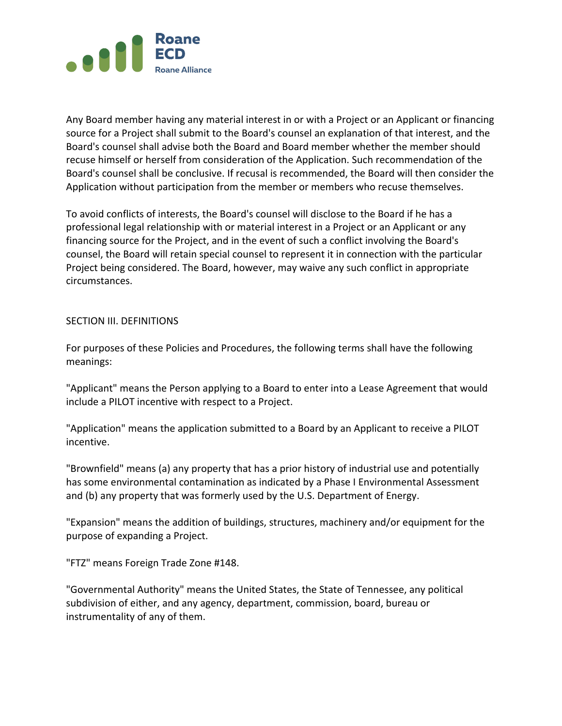

Any Board member having any material interest in or with a Project or an Applicant or financing source for a Project shall submit to the Board's counsel an explanation of that interest, and the Board's counsel shall advise both the Board and Board member whether the member should recuse himself or herself from consideration of the Application. Such recommendation of the Board's counsel shall be conclusive. If recusal is recommended, the Board will then consider the Application without participation from the member or members who recuse themselves.

To avoid conflicts of interests, the Board's counsel will disclose to the Board if he has a professional legal relationship with or material interest in a Project or an Applicant or any financing source for the Project, and in the event of such a conflict involving the Board's counsel, the Board will retain special counsel to represent it in connection with the particular Project being considered. The Board, however, may waive any such conflict in appropriate circumstances.

### SECTION III. DEFINITIONS

For purposes of these Policies and Procedures, the following terms shall have the following meanings:

"Applicant" means the Person applying to a Board to enter into a Lease Agreement that would include a PILOT incentive with respect to a Project.

"Application" means the application submitted to a Board by an Applicant to receive a PILOT incentive.

"Brownfield" means (a) any property that has a prior history of industrial use and potentially has some environmental contamination as indicated by a Phase I Environmental Assessment and (b) any property that was formerly used by the U.S. Department of Energy.

"Expansion" means the addition of buildings, structures, machinery and/or equipment for the purpose of expanding a Project.

"FTZ" means Foreign Trade Zone #148.

"Governmental Authority" means the United States, the State of Tennessee, any political subdivision of either, and any agency, department, commission, board, bureau or instrumentality of any of them.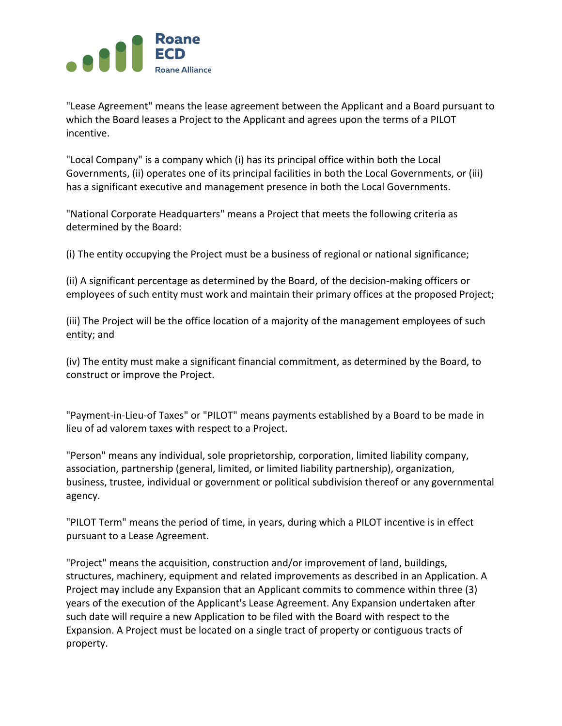

"Lease Agreement" means the lease agreement between the Applicant and a Board pursuant to which the Board leases a Project to the Applicant and agrees upon the terms of a PILOT incentive.

"Local Company" is a company which (i) has its principal office within both the Local Governments, (ii) operates one of its principal facilities in both the Local Governments, or (iii) has a significant executive and management presence in both the Local Governments.

"National Corporate Headquarters" means a Project that meets the following criteria as determined by the Board:

(i) The entity occupying the Project must be a business of regional or national significance;

(ii) A significant percentage as determined by the Board, of the decision-making officers or employees of such entity must work and maintain their primary offices at the proposed Project;

(iii) The Project will be the office location of a majority of the management employees of such entity; and

(iv) The entity must make a significant financial commitment, as determined by the Board, to construct or improve the Project.

"Payment-in-Lieu-of Taxes" or "PILOT" means payments established by a Board to be made in lieu of ad valorem taxes with respect to a Project.

"Person" means any individual, sole proprietorship, corporation, limited liability company, association, partnership (general, limited, or limited liability partnership), organization, business, trustee, individual or government or political subdivision thereof or any governmental agency.

"PILOT Term" means the period of time, in years, during which a PILOT incentive is in effect pursuant to a Lease Agreement.

"Project" means the acquisition, construction and/or improvement of land, buildings, structures, machinery, equipment and related improvements as described in an Application. A Project may include any Expansion that an Applicant commits to commence within three (3) years of the execution of the Applicant's Lease Agreement. Any Expansion undertaken after such date will require a new Application to be filed with the Board with respect to the Expansion. A Project must be located on a single tract of property or contiguous tracts of property.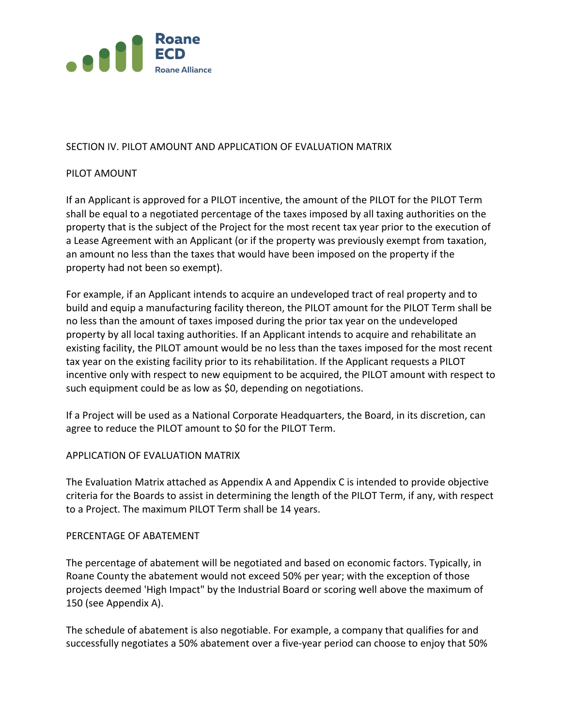

# SECTION IV. PILOT AMOUNT AND APPLICATION OF EVALUATION MATRIX

## PILOT AMOUNT

If an Applicant is approved for a PILOT incentive, the amount of the PILOT for the PILOT Term shall be equal to a negotiated percentage of the taxes imposed by all taxing authorities on the property that is the subject of the Project for the most recent tax year prior to the execution of a Lease Agreement with an Applicant (or if the property was previously exempt from taxation, an amount no less than the taxes that would have been imposed on the property if the property had not been so exempt).

For example, if an Applicant intends to acquire an undeveloped tract of real property and to build and equip a manufacturing facility thereon, the PILOT amount for the PILOT Term shall be no less than the amount of taxes imposed during the prior tax year on the undeveloped property by all local taxing authorities. If an Applicant intends to acquire and rehabilitate an existing facility, the PILOT amount would be no less than the taxes imposed for the most recent tax year on the existing facility prior to its rehabilitation. If the Applicant requests a PILOT incentive only with respect to new equipment to be acquired, the PILOT amount with respect to such equipment could be as low as \$0, depending on negotiations.

If a Project will be used as a National Corporate Headquarters, the Board, in its discretion, can agree to reduce the PILOT amount to \$0 for the PILOT Term.

### APPLICATION OF EVALUATION MATRIX

The Evaluation Matrix attached as Appendix A and Appendix C is intended to provide objective criteria for the Boards to assist in determining the length of the PILOT Term, if any, with respect to a Project. The maximum PILOT Term shall be 14 years.

### PERCENTAGE OF ABATEMENT

The percentage of abatement will be negotiated and based on economic factors. Typically, in Roane County the abatement would not exceed 50% per year; with the exception of those projects deemed 'High Impact" by the Industrial Board or scoring well above the maximum of 150 (see Appendix A).

The schedule of abatement is also negotiable. For example, a company that qualifies for and successfully negotiates a 50% abatement over a five-year period can choose to enjoy that 50%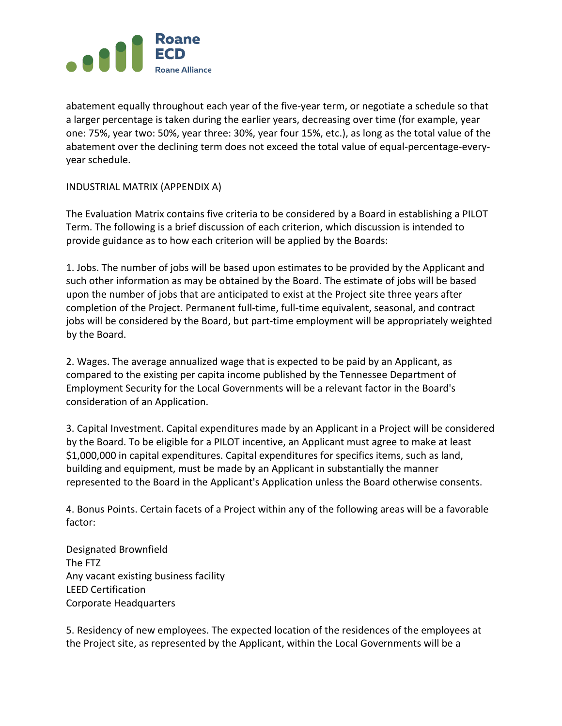

abatement equally throughout each year of the five-year term, or negotiate a schedule so that a larger percentage is taken during the earlier years, decreasing over time (for example, year one: 75%, year two: 50%, year three: 30%, year four 15%, etc.), as long as the total value of the abatement over the declining term does not exceed the total value of equal-percentage-everyyear schedule.

## INDUSTRIAL MATRIX (APPENDIX A)

The Evaluation Matrix contains five criteria to be considered by a Board in establishing a PILOT Term. The following is a brief discussion of each criterion, which discussion is intended to provide guidance as to how each criterion will be applied by the Boards:

1. Jobs. The number of jobs will be based upon estimates to be provided by the Applicant and such other information as may be obtained by the Board. The estimate of jobs will be based upon the number of jobs that are anticipated to exist at the Project site three years after completion of the Project. Permanent full-time, full-time equivalent, seasonal, and contract jobs will be considered by the Board, but part-time employment will be appropriately weighted by the Board.

2. Wages. The average annualized wage that is expected to be paid by an Applicant, as compared to the existing per capita income published by the Tennessee Department of Employment Security for the Local Governments will be a relevant factor in the Board's consideration of an Application.

3. Capital Investment. Capital expenditures made by an Applicant in a Project will be considered by the Board. To be eligible for a PILOT incentive, an Applicant must agree to make at least \$1,000,000 in capital expenditures. Capital expenditures for specifics items, such as land, building and equipment, must be made by an Applicant in substantially the manner represented to the Board in the Applicant's Application unless the Board otherwise consents.

4. Bonus Points. Certain facets of a Project within any of the following areas will be a favorable factor:

Designated Brownfield The FTZ Any vacant existing business facility LEED Certification Corporate Headquarters

5. Residency of new employees. The expected location of the residences of the employees at the Project site, as represented by the Applicant, within the Local Governments will be a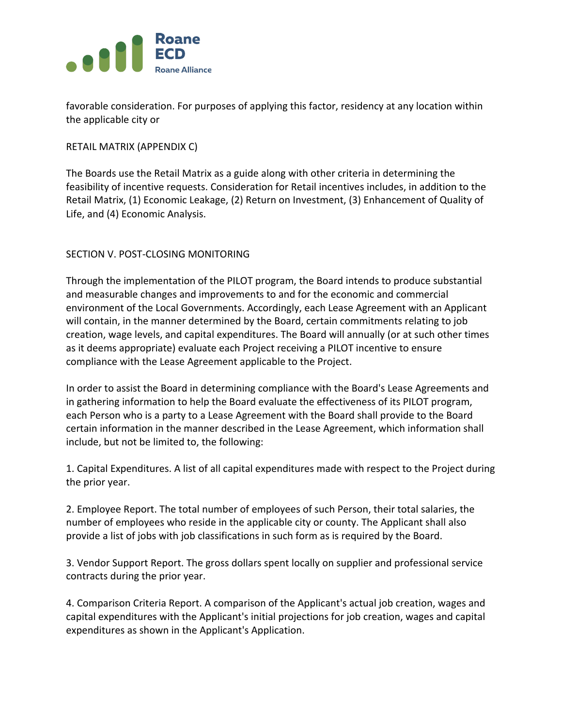

favorable consideration. For purposes of applying this factor, residency at any location within the applicable city or

RETAIL MATRIX (APPENDIX C)

The Boards use the Retail Matrix as a guide along with other criteria in determining the feasibility of incentive requests. Consideration for Retail incentives includes, in addition to the Retail Matrix, (1) Economic Leakage, (2) Return on Investment, (3) Enhancement of Quality of Life, and (4) Economic Analysis.

# SECTION V. POST-CLOSING MONITORING

Through the implementation of the PILOT program, the Board intends to produce substantial and measurable changes and improvements to and for the economic and commercial environment of the Local Governments. Accordingly, each Lease Agreement with an Applicant will contain, in the manner determined by the Board, certain commitments relating to job creation, wage levels, and capital expenditures. The Board will annually (or at such other times as it deems appropriate) evaluate each Project receiving a PILOT incentive to ensure compliance with the Lease Agreement applicable to the Project.

In order to assist the Board in determining compliance with the Board's Lease Agreements and in gathering information to help the Board evaluate the effectiveness of its PILOT program, each Person who is a party to a Lease Agreement with the Board shall provide to the Board certain information in the manner described in the Lease Agreement, which information shall include, but not be limited to, the following:

1. Capital Expenditures. A list of all capital expenditures made with respect to the Project during the prior year.

2. Employee Report. The total number of employees of such Person, their total salaries, the number of employees who reside in the applicable city or county. The Applicant shall also provide a list of jobs with job classifications in such form as is required by the Board.

3. Vendor Support Report. The gross dollars spent locally on supplier and professional service contracts during the prior year.

4. Comparison Criteria Report. A comparison of the Applicant's actual job creation, wages and capital expenditures with the Applicant's initial projections for job creation, wages and capital expenditures as shown in the Applicant's Application.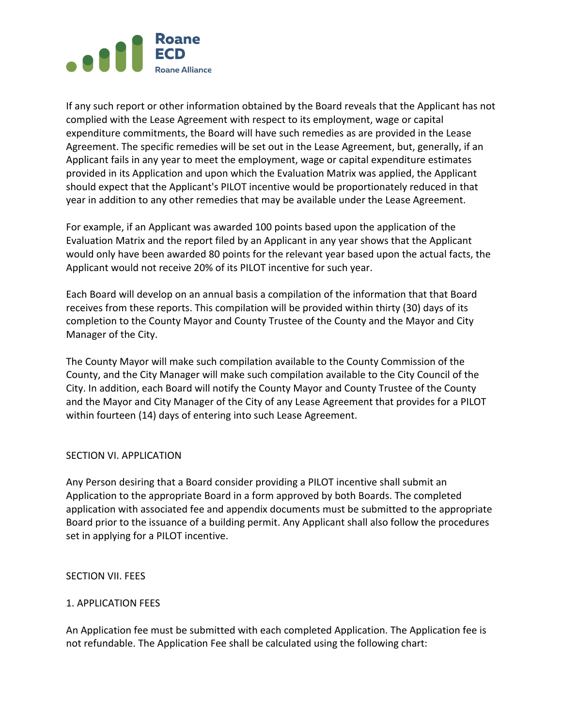

If any such report or other information obtained by the Board reveals that the Applicant has not complied with the Lease Agreement with respect to its employment, wage or capital expenditure commitments, the Board will have such remedies as are provided in the Lease Agreement. The specific remedies will be set out in the Lease Agreement, but, generally, if an Applicant fails in any year to meet the employment, wage or capital expenditure estimates provided in its Application and upon which the Evaluation Matrix was applied, the Applicant should expect that the Applicant's PILOT incentive would be proportionately reduced in that year in addition to any other remedies that may be available under the Lease Agreement.

For example, if an Applicant was awarded 100 points based upon the application of the Evaluation Matrix and the report filed by an Applicant in any year shows that the Applicant would only have been awarded 80 points for the relevant year based upon the actual facts, the Applicant would not receive 20% of its PILOT incentive for such year.

Each Board will develop on an annual basis a compilation of the information that that Board receives from these reports. This compilation will be provided within thirty (30) days of its completion to the County Mayor and County Trustee of the County and the Mayor and City Manager of the City.

The County Mayor will make such compilation available to the County Commission of the County, and the City Manager will make such compilation available to the City Council of the City. In addition, each Board will notify the County Mayor and County Trustee of the County and the Mayor and City Manager of the City of any Lease Agreement that provides for a PILOT within fourteen (14) days of entering into such Lease Agreement.

### SECTION VI. APPLICATION

Any Person desiring that a Board consider providing a PILOT incentive shall submit an Application to the appropriate Board in a form approved by both Boards. The completed application with associated fee and appendix documents must be submitted to the appropriate Board prior to the issuance of a building permit. Any Applicant shall also follow the procedures set in applying for a PILOT incentive.

#### SECTION VII. FEES

### 1. APPLICATION FEES

An Application fee must be submitted with each completed Application. The Application fee is not refundable. The Application Fee shall be calculated using the following chart: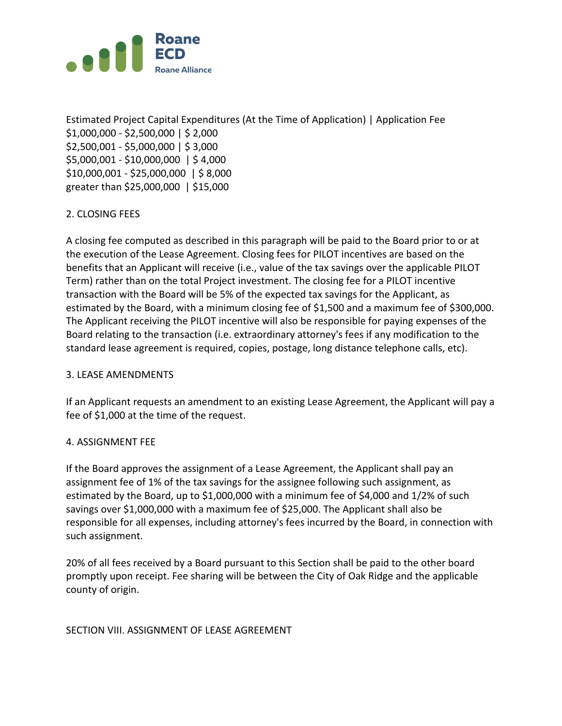

Estimated Project Capital Expenditures (At the Time of Application) | Application Fee \$1,000,000 - \$2,500,000 | \$ 2,000 \$2,500,001 - \$5,000,000 | \$ 3,000 \$5,000,001 - \$10,000,000 | \$ 4,000 \$10,000,001 - \$25,000,000 | \$ 8,000 greater than \$25,000,000 | \$15,000

# 2. CLOSING FEES

A closing fee computed as described in this paragraph will be paid to the Board prior to or at the execution of the Lease Agreement. Closing fees for PILOT incentives are based on the benefits that an Applicant will receive (i.e., value of the tax savings over the applicable PILOT Term) rather than on the total Project investment. The closing fee for a PILOT incentive transaction with the Board will be 5% of the expected tax savings for the Applicant, as estimated by the Board, with a minimum closing fee of \$1,500 and a maximum fee of \$300,000. The Applicant receiving the PILOT incentive will also be responsible for paying expenses of the Board relating to the transaction (i.e. extraordinary attorney's fees if any modification to the standard lease agreement is required, copies, postage, long distance telephone calls, etc).

### 3. LEASE AMENDMENTS

If an Applicant requests an amendment to an existing Lease Agreement, the Applicant will pay a fee of \$1,000 at the time of the request.

### 4. ASSIGNMENT FEE

If the Board approves the assignment of a Lease Agreement, the Applicant shall pay an assignment fee of 1% of the tax savings for the assignee following such assignment, as estimated by the Board, up to \$1,000,000 with a minimum fee of \$4,000 and 1/2% of such savings over \$1,000,000 with a maximum fee of \$25,000. The Applicant shall also be responsible for all expenses, including attorney's fees incurred by the Board, in connection with such assignment.

20% of all fees received by a Board pursuant to this Section shall be paid to the other board promptly upon receipt. Fee sharing will be between the City of Oak Ridge and the applicable county of origin.

### SECTION VIII. ASSIGNMENT OF LEASE AGREEMENT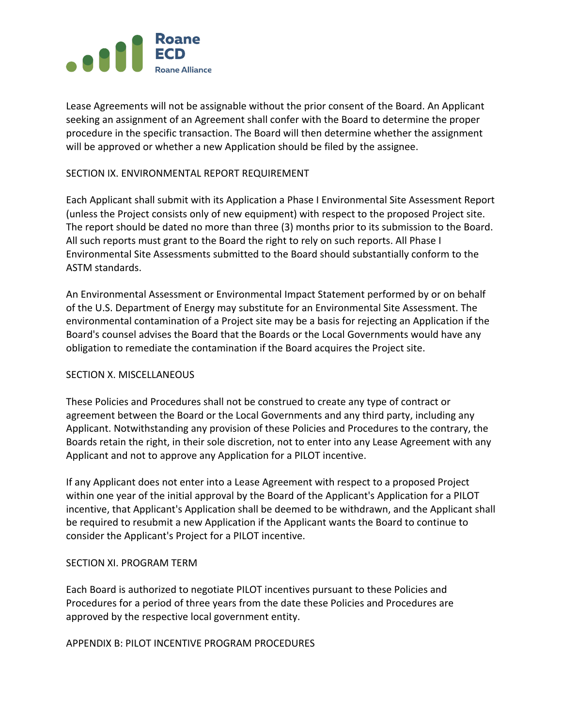

Lease Agreements will not be assignable without the prior consent of the Board. An Applicant seeking an assignment of an Agreement shall confer with the Board to determine the proper procedure in the specific transaction. The Board will then determine whether the assignment will be approved or whether a new Application should be filed by the assignee.

## SECTION IX. ENVIRONMENTAL REPORT REQUIREMENT

Each Applicant shall submit with its Application a Phase I Environmental Site Assessment Report (unless the Project consists only of new equipment) with respect to the proposed Project site. The report should be dated no more than three (3) months prior to its submission to the Board. All such reports must grant to the Board the right to rely on such reports. All Phase I Environmental Site Assessments submitted to the Board should substantially conform to the ASTM standards.

An Environmental Assessment or Environmental Impact Statement performed by or on behalf of the U.S. Department of Energy may substitute for an Environmental Site Assessment. The environmental contamination of a Project site may be a basis for rejecting an Application if the Board's counsel advises the Board that the Boards or the Local Governments would have any obligation to remediate the contamination if the Board acquires the Project site.

### SECTION X. MISCELLANEOUS

These Policies and Procedures shall not be construed to create any type of contract or agreement between the Board or the Local Governments and any third party, including any Applicant. Notwithstanding any provision of these Policies and Procedures to the contrary, the Boards retain the right, in their sole discretion, not to enter into any Lease Agreement with any Applicant and not to approve any Application for a PILOT incentive.

If any Applicant does not enter into a Lease Agreement with respect to a proposed Project within one year of the initial approval by the Board of the Applicant's Application for a PILOT incentive, that Applicant's Application shall be deemed to be withdrawn, and the Applicant shall be required to resubmit a new Application if the Applicant wants the Board to continue to consider the Applicant's Project for a PILOT incentive.

### SECTION XI. PROGRAM TERM

Each Board is authorized to negotiate PILOT incentives pursuant to these Policies and Procedures for a period of three years from the date these Policies and Procedures are approved by the respective local government entity.

APPENDIX B: PILOT INCENTIVE PROGRAM PROCEDURES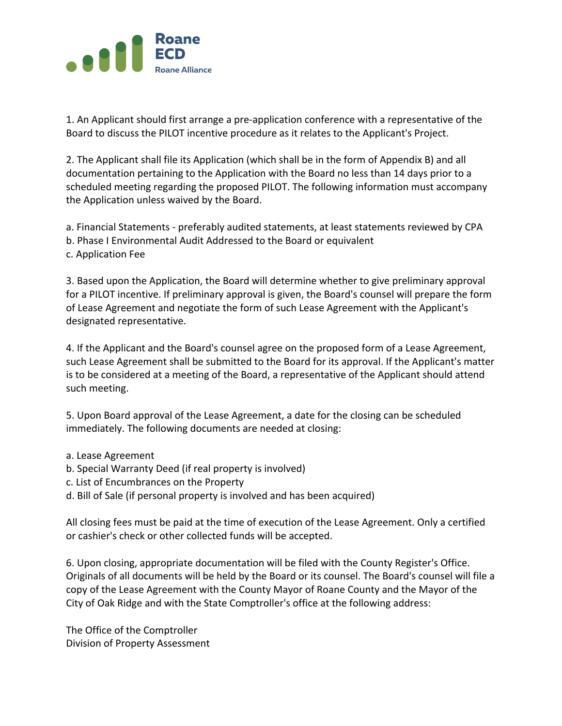

1. An Applicant should first arrange a pre-application conference with a representative of the Board to discuss the PILOT incentive procedure as it relates to the Applicant's Project.

2. The Applicant shall file its Application (which shall be in the form of Appendix B) and all documentation pertaining to the Application with the Board no less than 14 days prior to a scheduled meeting regarding the proposed PILOT. The following information must accompany the Application unless waived by the Board.

a. Financial Statements - preferably audited statements, at least statements reviewed by CPA b. Phase I Environmental Audit Addressed to the Board or equivalent

c. Application Fee

3. Based upon the Application, the Board will determine whether to give preliminary approval for a PILOT incentive. If preliminary approval is given, the Board's counsel will prepare the form of Lease Agreement and negotiate the form of such Lease Agreement with the Applicant's designated representative.

4. If the Applicant and the Board's counsel agree on the proposed form of a Lease Agreement, such Lease Agreement shall be submitted to the Board for its approval. If the Applicant's matter is to be considered at a meeting of the Board, a representative of the Applicant should attend such meeting.

5. Upon Board approval of the Lease Agreement, a date for the closing can be scheduled immediately. The following documents are needed at closing:

- a. Lease Agreement
- b. Special Warranty Deed (if real property is involved)
- c. List of Encumbrances on the Property
- d. Bill of Sale (if personal property is involved and has been acquired)

All closing fees must be paid at the time of execution of the Lease Agreement. Only a certified or cashier's check or other collected funds will be accepted.

6. Upon closing, appropriate documentation will be filed with the County Register's Office. Originals of all documents will be held by the Board or its counsel. The Board's counsel will file a copy of the Lease Agreement with the County Mayor of Roane County and the Mayor of the City of Oak Ridge and with the State Comptroller's office at the following address:

The Office of the Comptroller Division of Property Assessment